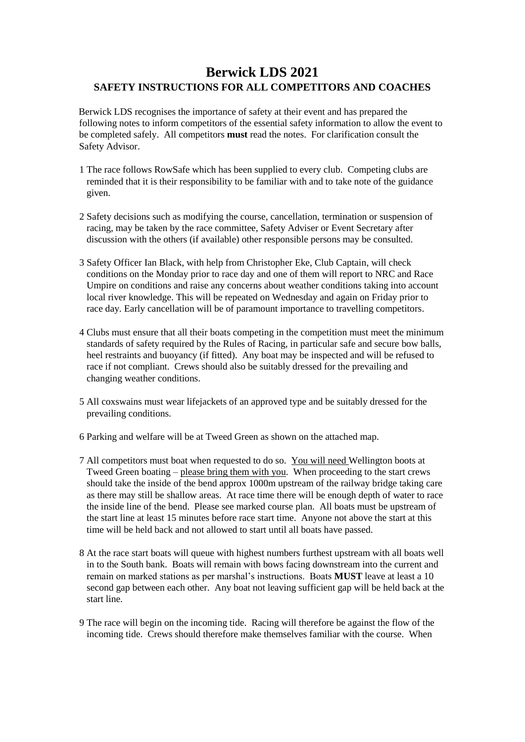## **Berwick LDS 2021 SAFETY INSTRUCTIONS FOR ALL COMPETITORS AND COACHES**

Berwick LDS recognises the importance of safety at their event and has prepared the following notes to inform competitors of the essential safety information to allow the event to be completed safely. All competitors **must** read the notes. For clarification consult the Safety Advisor.

- 1 The race follows RowSafe which has been supplied to every club. Competing clubs are reminded that it is their responsibility to be familiar with and to take note of the guidance given.
- 2 Safety decisions such as modifying the course, cancellation, termination or suspension of racing, may be taken by the race committee, Safety Adviser or Event Secretary after discussion with the others (if available) other responsible persons may be consulted.
- 3 Safety Officer Ian Black, with help from Christopher Eke, Club Captain, will check conditions on the Monday prior to race day and one of them will report to NRC and Race Umpire on conditions and raise any concerns about weather conditions taking into account local river knowledge. This will be repeated on Wednesday and again on Friday prior to race day. Early cancellation will be of paramount importance to travelling competitors.
- 4 Clubs must ensure that all their boats competing in the competition must meet the minimum standards of safety required by the Rules of Racing, in particular safe and secure bow balls, heel restraints and buoyancy (if fitted). Any boat may be inspected and will be refused to race if not compliant. Crews should also be suitably dressed for the prevailing and changing weather conditions.
- 5 All coxswains must wear lifejackets of an approved type and be suitably dressed for the prevailing conditions.
- 6 Parking and welfare will be at Tweed Green as shown on the attached map.
- 7 All competitors must boat when requested to do so. You will need Wellington boots at Tweed Green boating – please bring them with you. When proceeding to the start crews should take the inside of the bend approx 1000m upstream of the railway bridge taking care as there may still be shallow areas. At race time there will be enough depth of water to race the inside line of the bend. Please see marked course plan. All boats must be upstream of the start line at least 15 minutes before race start time. Anyone not above the start at this time will be held back and not allowed to start until all boats have passed.
- 8 At the race start boats will queue with highest numbers furthest upstream with all boats well in to the South bank. Boats will remain with bows facing downstream into the current and remain on marked stations as per marshal's instructions. Boats **MUST** leave at least a 10 second gap between each other. Any boat not leaving sufficient gap will be held back at the start line.
- 9 The race will begin on the incoming tide. Racing will therefore be against the flow of the incoming tide. Crews should therefore make themselves familiar with the course. When